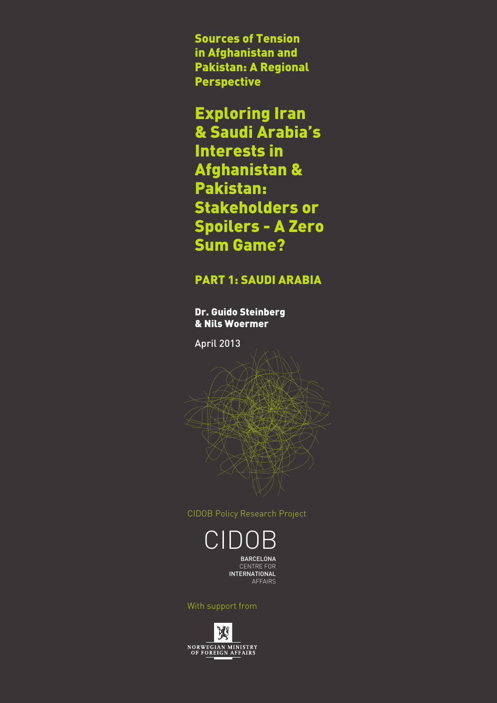Sources of Tension in Afghanistan and Pakistan: A Regional Perspective

# Exploring Iran

& Saudi Arabia's Interests in Afghanistan & Pakistan: Stakeholders or Spoilers - A Zero Sum Game?

## PART 1: SAUDI ARABIA

Dr. Guido Steinberg & Nils Woermer

April 2013

CIDOB Policy Research Project

CIDO **BARCELONA** CENTRE FOR INTERNATIONAL AFFAIRS

With support from

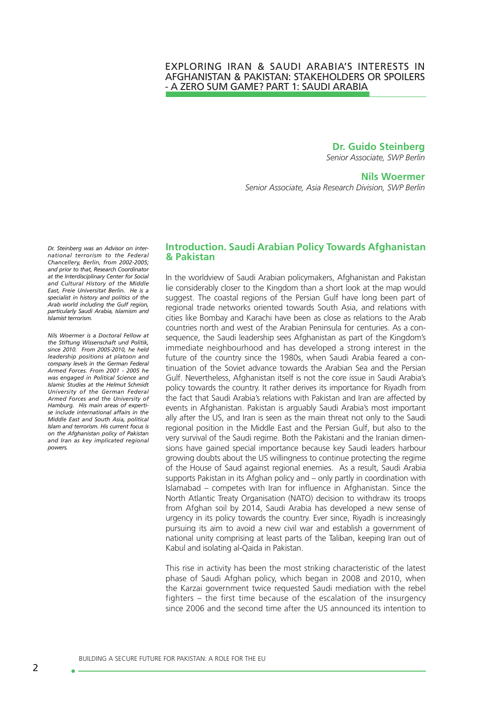## EXPLORING IRAN & SAUDI ARABIA'S INTERESTS IN AFGHANISTAN & PAKISTAN: STAKEHOLDERS OR SPOILERS - A ZERO SUM GAME? PART 1: SAUDI ARABIA

**Dr. Guido Steinberg**

*Senior Associate, SWP Berlin*

### **Nils Woermer**

*Senior Associate, Asia Research Division, SWP Berlin*

*Dr. Steinberg was an Advisor on international terrorism to the Federal Chancellery, Berlin, from 2002-2005; and prior to that, Research Coordinator at the Interdisciplinary Center for Social and Cultural History of the Middle East, Freie Universitat Berlin. He is a specialist in history and politics of the Arab world including the Gulf region, particularly Saudi Arabia, Islamism and Islamist terrorism.* 

*Nils Woermer is a Doctoral Fellow at the Stiftung Wissenschaft und Politik, since 2010. From 2005-2010, he held leadership positions at platoon and company levels in the German Federal Armed Forces. From 2001 - 2005 he was engaged in Political Science and Islamic Studies at the Helmut Schmidt University of the German Federal Armed Forces and the University of Hamburg. His main areas of expertise include international affairs in the Middle East and South Asia, political Islam and terrorism. His current focus is on the Afghanistan policy of Pakistan and Iran as key implicated regional powers.*

## **Introduction. Saudi Arabian Policy Towards Afghanistan & Pakistan**

In the worldview of Saudi Arabian policymakers, Afghanistan and Pakistan lie considerably closer to the Kingdom than a short look at the map would suggest. The coastal regions of the Persian Gulf have long been part of regional trade networks oriented towards South Asia, and relations with cities like Bombay and Karachi have been as close as relations to the Arab countries north and west of the Arabian Peninsula for centuries. As a consequence, the Saudi leadership sees Afghanistan as part of the Kingdom's immediate neighbourhood and has developed a strong interest in the future of the country since the 1980s, when Saudi Arabia feared a continuation of the Soviet advance towards the Arabian Sea and the Persian Gulf. Nevertheless, Afghanistan itself is not the core issue in Saudi Arabia's policy towards the country. It rather derives its importance for Riyadh from the fact that Saudi Arabia's relations with Pakistan and Iran are affected by events in Afghanistan. Pakistan is arguably Saudi Arabia's most important ally after the US, and Iran is seen as the main threat not only to the Saudi regional position in the Middle East and the Persian Gulf, but also to the very survival of the Saudi regime. Both the Pakistani and the Iranian dimensions have gained special importance because key Saudi leaders harbour growing doubts about the US willingness to continue protecting the regime of the House of Saud against regional enemies. As a result, Saudi Arabia supports Pakistan in its Afghan policy and – only partly in coordination with Islamabad – competes with Iran for influence in Afghanistan. Since the North Atlantic Treaty Organisation (NATO) decision to withdraw its troops from Afghan soil by 2014, Saudi Arabia has developed a new sense of urgency in its policy towards the country. Ever since, Riyadh is increasingly pursuing its aim to avoid a new civil war and establish a government of national unity comprising at least parts of the Taliban, keeping Iran out of Kabul and isolating al-Qaida in Pakistan.

This rise in activity has been the most striking characteristic of the latest phase of Saudi Afghan policy, which began in 2008 and 2010, when the Karzai government twice requested Saudi mediation with the rebel fighters – the first time because of the escalation of the insurgency since 2006 and the second time after the US announced its intention to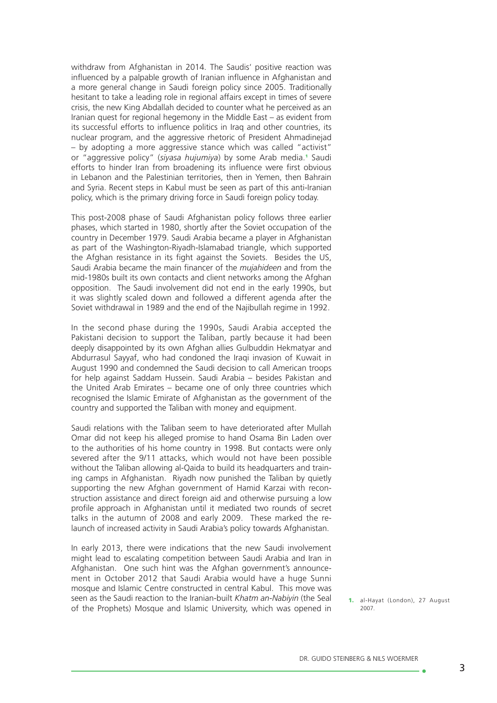withdraw from Afghanistan in 2014. The Saudis' positive reaction was influenced by a palpable growth of Iranian influence in Afghanistan and a more general change in Saudi foreign policy since 2005. Traditionally hesitant to take a leading role in regional affairs except in times of severe crisis, the new King Abdallah decided to counter what he perceived as an Iranian quest for regional hegemony in the Middle East – as evident from its successful efforts to influence politics in Iraq and other countries, its nuclear program, and the aggressive rhetoric of President Ahmadinejad – by adopting a more aggressive stance which was called "activist" or "aggressive policy" (*siyasa hujumiya*) by some Arab media.<sup>1</sup> Saudi efforts to hinder Iran from broadening its influence were first obvious in Lebanon and the Palestinian territories, then in Yemen, then Bahrain and Syria. Recent steps in Kabul must be seen as part of this anti-Iranian policy, which is the primary driving force in Saudi foreign policy today.

This post-2008 phase of Saudi Afghanistan policy follows three earlier phases, which started in 1980, shortly after the Soviet occupation of the country in December 1979. Saudi Arabia became a player in Afghanistan as part of the Washington-Riyadh-Islamabad triangle, which supported the Afghan resistance in its fight against the Soviets. Besides the US, Saudi Arabia became the main financer of the *mujahideen* and from the mid-1980s built its own contacts and client networks among the Afghan opposition. The Saudi involvement did not end in the early 1990s, but it was slightly scaled down and followed a different agenda after the Soviet withdrawal in 1989 and the end of the Najibullah regime in 1992.

In the second phase during the 1990s, Saudi Arabia accepted the Pakistani decision to support the Taliban, partly because it had been deeply disappointed by its own Afghan allies Gulbuddin Hekmatyar and Abdurrasul Sayyaf, who had condoned the Iraqi invasion of Kuwait in August 1990 and condemned the Saudi decision to call American troops for help against Saddam Hussein. Saudi Arabia – besides Pakistan and the United Arab Emirates – became one of only three countries which recognised the Islamic Emirate of Afghanistan as the government of the country and supported the Taliban with money and equipment.

Saudi relations with the Taliban seem to have deteriorated after Mullah Omar did not keep his alleged promise to hand Osama Bin Laden over to the authorities of his home country in 1998. But contacts were only severed after the 9/11 attacks, which would not have been possible without the Taliban allowing al-Qaida to build its headquarters and training camps in Afghanistan. Riyadh now punished the Taliban by quietly supporting the new Afghan government of Hamid Karzai with reconstruction assistance and direct foreign aid and otherwise pursuing a low profile approach in Afghanistan until it mediated two rounds of secret talks in the autumn of 2008 and early 2009. These marked the relaunch of increased activity in Saudi Arabia's policy towards Afghanistan.

In early 2013, there were indications that the new Saudi involvement might lead to escalating competition between Saudi Arabia and Iran in Afghanistan. One such hint was the Afghan government's announcement in October 2012 that Saudi Arabia would have a huge Sunni mosque and Islamic Centre constructed in central Kabul. This move was seen as the Saudi reaction to the Iranian-built *Khatm an-Nabiyin* (the Seal of the Prophets) Mosque and Islamic University, which was opened in

<sup>1.</sup> al-Hayat (London), 27 August 2007.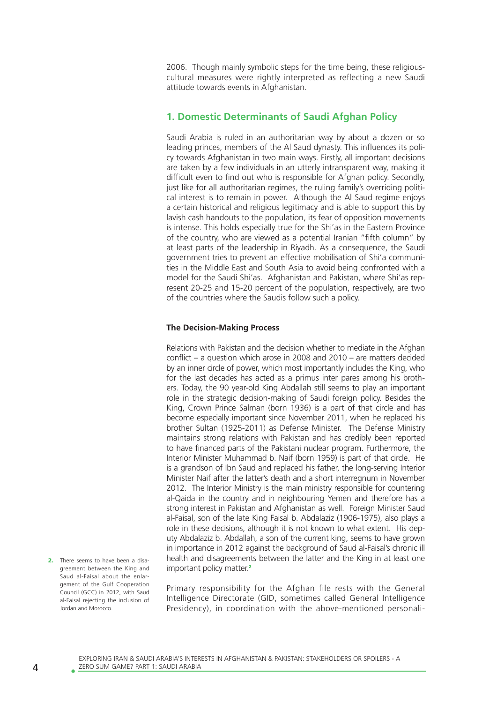2006. Though mainly symbolic steps for the time being, these religiouscultural measures were rightly interpreted as reflecting a new Saudi attitude towards events in Afghanistan.

## **1. Domestic Determinants of Saudi Afghan Policy**

Saudi Arabia is ruled in an authoritarian way by about a dozen or so leading princes, members of the Al Saud dynasty. This influences its policy towards Afghanistan in two main ways. Firstly, all important decisions are taken by a few individuals in an utterly intransparent way, making it difficult even to find out who is responsible for Afghan policy. Secondly, just like for all authoritarian regimes, the ruling family's overriding political interest is to remain in power. Although the Al Saud regime enjoys a certain historical and religious legitimacy and is able to support this by lavish cash handouts to the population, its fear of opposition movements is intense. This holds especially true for the Shi'as in the Eastern Province of the country, who are viewed as a potential Iranian "fifth column" by at least parts of the leadership in Riyadh. As a consequence, the Saudi government tries to prevent an effective mobilisation of Shi'a communities in the Middle East and South Asia to avoid being confronted with a model for the Saudi Shi'as. Afghanistan and Pakistan, where Shi'as represent 20-25 and 15-20 percent of the population, respectively, are two of the countries where the Saudis follow such a policy.

#### **The Decision-Making Process**

Relations with Pakistan and the decision whether to mediate in the Afghan conflict – a question which arose in 2008 and 2010 – are matters decided by an inner circle of power, which most importantly includes the King, who for the last decades has acted as a primus inter pares among his brothers. Today, the 90 year-old King Abdallah still seems to play an important role in the strategic decision-making of Saudi foreign policy. Besides the King, Crown Prince Salman (born 1936) is a part of that circle and has become especially important since November 2011, when he replaced his brother Sultan (1925-2011) as Defense Minister. The Defense Ministry maintains strong relations with Pakistan and has credibly been reported to have financed parts of the Pakistani nuclear program. Furthermore, the Interior Minister Muhammad b. Naif (born 1959) is part of that circle. He is a grandson of Ibn Saud and replaced his father, the long-serving Interior Minister Naif after the latter's death and a short interregnum in November 2012. The Interior Ministry is the main ministry responsible for countering al-Qaida in the country and in neighbouring Yemen and therefore has a strong interest in Pakistan and Afghanistan as well. Foreign Minister Saud al-Faisal, son of the late King Faisal b. Abdalaziz (1906-1975), also plays a role in these decisions, although it is not known to what extent. His deputy Abdalaziz b. Abdallah, a son of the current king, seems to have grown in importance in 2012 against the background of Saud al-Faisal's chronic ill health and disagreements between the latter and the King in at least one important policy matter.<sup>2</sup>

Primary responsibility for the Afghan file rests with the General Intelligence Directorate (GID, sometimes called General Intelligence Presidency), in coordination with the above-mentioned personali-

2. There seems to have been a disagreement between the King and Saud al-Faisal about the enlargement of the Gulf Cooperation Council (GCC) in 2012, with Saud al-Faisal rejecting the inclusion of Jordan and Morocco.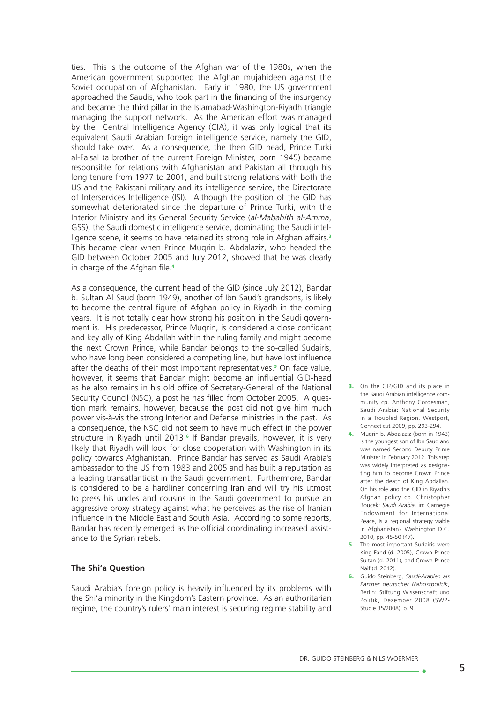ties. This is the outcome of the Afghan war of the 1980s, when the American government supported the Afghan mujahideen against the Soviet occupation of Afghanistan. Early in 1980, the US government approached the Saudis, who took part in the financing of the insurgency and became the third pillar in the Islamabad-Washington-Riyadh triangle managing the support network. As the American effort was managed by the Central Intelligence Agency (CIA), it was only logical that its equivalent Saudi Arabian foreign intelligence service, namely the GID, should take over. As a consequence, the then GID head, Prince Turki al-Faisal (a brother of the current Foreign Minister, born 1945) became responsible for relations with Afghanistan and Pakistan all through his long tenure from 1977 to 2001, and built strong relations with both the US and the Pakistani military and its intelligence service, the Directorate of Interservices Intelligence (ISI). Although the position of the GID has somewhat deteriorated since the departure of Prince Turki, with the Interior Ministry and its General Security Service (*al-Mabahith al-Amma*, GSS), the Saudi domestic intelligence service, dominating the Saudi intelligence scene, it seems to have retained its strong role in Afghan affairs.<sup>3</sup> This became clear when Prince Muqrin b. Abdalaziz, who headed the GID between October 2005 and July 2012, showed that he was clearly in charge of the Afghan file.<sup>4</sup>

As a consequence, the current head of the GID (since July 2012), Bandar b. Sultan Al Saud (born 1949), another of Ibn Saud's grandsons, is likely to become the central figure of Afghan policy in Riyadh in the coming years. It is not totally clear how strong his position in the Saudi government is. His predecessor, Prince Muqrin, is considered a close confidant and key ally of King Abdallah within the ruling family and might become the next Crown Prince, while Bandar belongs to the so-called Sudairis, who have long been considered a competing line, but have lost influence after the deaths of their most important representatives.<sup>5</sup> On face value, however, it seems that Bandar might become an influential GID-head as he also remains in his old office of Secretary-General of the National Security Council (NSC), a post he has filled from October 2005. A question mark remains, however, because the post did not give him much power vis-à-vis the strong Interior and Defense ministries in the past. As a consequence, the NSC did not seem to have much effect in the power structure in Riyadh until 2013.<sup>6</sup> If Bandar prevails, however, it is very likely that Riyadh will look for close cooperation with Washington in its policy towards Afghanistan. Prince Bandar has served as Saudi Arabia's ambassador to the US from 1983 and 2005 and has built a reputation as a leading transatlanticist in the Saudi government. Furthermore, Bandar is considered to be a hardliner concerning Iran and will try his utmost to press his uncles and cousins in the Saudi government to pursue an aggressive proxy strategy against what he perceives as the rise of Iranian influence in the Middle East and South Asia. According to some reports, Bandar has recently emerged as the official coordinating increased assistance to the Syrian rebels.

#### **The Shi'a Question**

Saudi Arabia's foreign policy is heavily influenced by its problems with the Shi'a minority in the Kingdom's Eastern province. As an authoritarian regime, the country's rulers' main interest is securing regime stability and

- 3. On the GIP/GID and its place in the Saudi Arabian intelligence community cp. Anthony Cordesman, Saudi Arabia: National Security in a Troubled Region, Westport, Connecticut 2009, pp. 293-294.
- 4. Muqrin b. Abdalaziz (born in 1943) is the youngest son of Ibn Saud and was named Second Deputy Prime Minister in February 2012. This step was widely interpreted as designating him to become Crown Prince after the death of King Abdallah. On his role and the GID in Riyadh's Afghan policy cp. Christopher Boucek: *Saudi Arabia*, in: Carnegie Endowment for International Peace, Is a regional strategy viable in Afghanistan? Washington D.C. 2010, pp. 45-50 (47).
- **5.** The most important Sudairis were King Fahd (d. 2005), Crown Prince Sultan (d. 2011), and Crown Prince Naif (d. 2012).
- 6. Guido Steinberg, *Saudi-Arabien als Partner deutscher Nahostpolitik*, Berlin: Stiftung Wissenschaft und Politik, Dezember 2008 (SWP-Studie 35/2008), p. 9.

ه -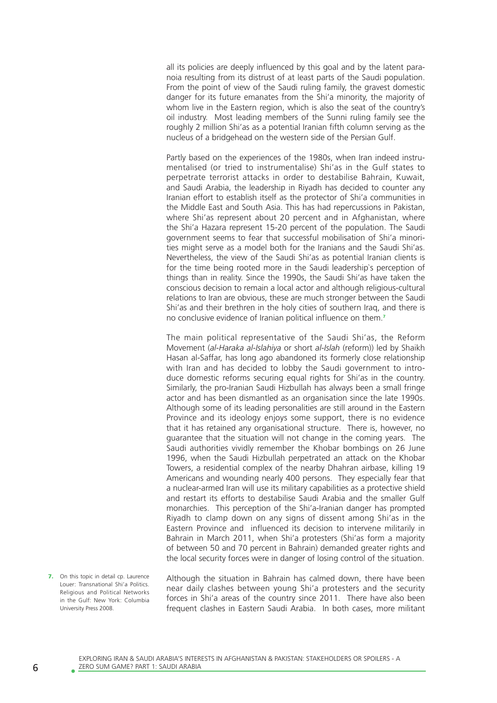all its policies are deeply influenced by this goal and by the latent paranoia resulting from its distrust of at least parts of the Saudi population. From the point of view of the Saudi ruling family, the gravest domestic danger for its future emanates from the Shi'a minority, the majority of whom live in the Eastern region, which is also the seat of the country's oil industry. Most leading members of the Sunni ruling family see the roughly 2 million Shi'as as a potential Iranian fifth column serving as the nucleus of a bridgehead on the western side of the Persian Gulf.

Partly based on the experiences of the 1980s, when Iran indeed instrumentalised (or tried to instrumentalise) Shi'as in the Gulf states to perpetrate terrorist attacks in order to destabilise Bahrain, Kuwait, and Saudi Arabia, the leadership in Riyadh has decided to counter any Iranian effort to establish itself as the protector of Shi'a communities in the Middle East and South Asia. This has had repercussions in Pakistan, where Shi'as represent about 20 percent and in Afghanistan, where the Shi'a Hazara represent 15-20 percent of the population. The Saudi government seems to fear that successful mobilisation of Shi'a minorities might serve as a model both for the Iranians and the Saudi Shi'as. Nevertheless, the view of the Saudi Shi'as as potential Iranian clients is for the time being rooted more in the Saudi leadership`s perception of things than in reality. Since the 1990s, the Saudi Shi'as have taken the conscious decision to remain a local actor and although religious-cultural relations to Iran are obvious, these are much stronger between the Saudi Shi'as and their brethren in the holy cities of southern Iraq, and there is no conclusive evidence of Iranian political influence on them.<sup>7</sup>

The main political representative of the Saudi Shi'as, the Reform Movement (*al-Haraka al-Islahiya* or short *al-Islah* (reform)) led by Shaikh Hasan al-Saffar, has long ago abandoned its formerly close relationship with Iran and has decided to lobby the Saudi government to introduce domestic reforms securing equal rights for Shi'as in the country. Similarly, the pro-Iranian Saudi Hizbullah has always been a small fringe actor and has been dismantled as an organisation since the late 1990s. Although some of its leading personalities are still around in the Eastern Province and its ideology enjoys some support, there is no evidence that it has retained any organisational structure. There is, however, no guarantee that the situation will not change in the coming years. The Saudi authorities vividly remember the Khobar bombings on 26 June 1996, when the Saudi Hizbullah perpetrated an attack on the Khobar Towers, a residential complex of the nearby Dhahran airbase, killing 19 Americans and wounding nearly 400 persons. They especially fear that a nuclear-armed Iran will use its military capabilities as a protective shield and restart its efforts to destabilise Saudi Arabia and the smaller Gulf monarchies. This perception of the Shi'a-Iranian danger has prompted Riyadh to clamp down on any signs of dissent among Shi'as in the Eastern Province and influenced its decision to intervene militarily in Bahrain in March 2011, when Shi'a protesters (Shi'as form a majority of between 50 and 70 percent in Bahrain) demanded greater rights and the local security forces were in danger of losing control of the situation.

7. On this topic in detail cp. Laurence Louer: Transnational Shi'a Politics. Religious and Political Networks in the Gulf: New York: Columbia University Press 2008.

Although the situation in Bahrain has calmed down, there have been near daily clashes between young Shi'a protesters and the security forces in Shi'a areas of the country since 2011. There have also been frequent clashes in Eastern Saudi Arabia. In both cases, more militant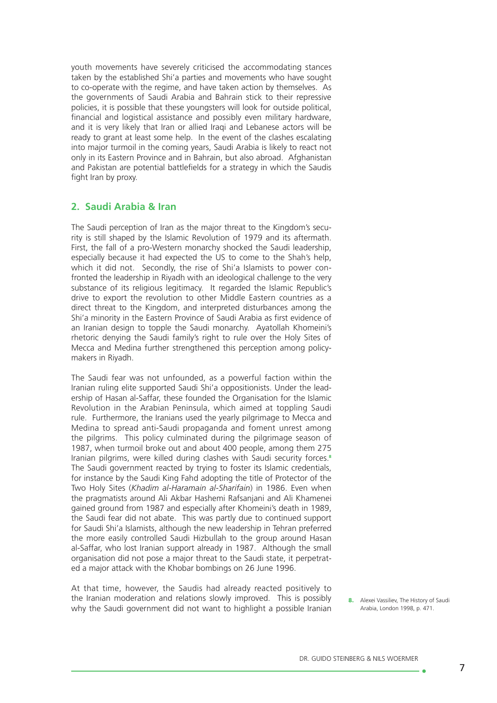youth movements have severely criticised the accommodating stances taken by the established Shi'a parties and movements who have sought to co-operate with the regime, and have taken action by themselves. As the governments of Saudi Arabia and Bahrain stick to their repressive policies, it is possible that these youngsters will look for outside political, financial and logistical assistance and possibly even military hardware, and it is very likely that Iran or allied Iraqi and Lebanese actors will be ready to grant at least some help. In the event of the clashes escalating into major turmoil in the coming years, Saudi Arabia is likely to react not only in its Eastern Province and in Bahrain, but also abroad. Afghanistan and Pakistan are potential battlefields for a strategy in which the Saudis fight Iran by proxy.

## **2. Saudi Arabia & Iran**

The Saudi perception of Iran as the major threat to the Kingdom's security is still shaped by the Islamic Revolution of 1979 and its aftermath. First, the fall of a pro-Western monarchy shocked the Saudi leadership, especially because it had expected the US to come to the Shah's help, which it did not. Secondly, the rise of Shi'a Islamists to power confronted the leadership in Riyadh with an ideological challenge to the very substance of its religious legitimacy. It regarded the Islamic Republic's drive to export the revolution to other Middle Eastern countries as a direct threat to the Kingdom, and interpreted disturbances among the Shi'a minority in the Eastern Province of Saudi Arabia as first evidence of an Iranian design to topple the Saudi monarchy. Ayatollah Khomeini's rhetoric denying the Saudi family's right to rule over the Holy Sites of Mecca and Medina further strengthened this perception among policymakers in Riyadh.

The Saudi fear was not unfounded, as a powerful faction within the Iranian ruling elite supported Saudi Shi'a oppositionists. Under the leadership of Hasan al-Saffar, these founded the Organisation for the Islamic Revolution in the Arabian Peninsula, which aimed at toppling Saudi rule. Furthermore, the Iranians used the yearly pilgrimage to Mecca and Medina to spread anti-Saudi propaganda and foment unrest among the pilgrims. This policy culminated during the pilgrimage season of 1987, when turmoil broke out and about 400 people, among them 275 Iranian pilgrims, were killed during clashes with Saudi security forces.<sup>8</sup> The Saudi government reacted by trying to foster its Islamic credentials, for instance by the Saudi King Fahd adopting the title of Protector of the Two Holy Sites (*Khadim al-Haramain al-Sharifain*) in 1986. Even when the pragmatists around Ali Akbar Hashemi Rafsanjani and Ali Khamenei gained ground from 1987 and especially after Khomeini's death in 1989, the Saudi fear did not abate. This was partly due to continued support for Saudi Shi'a Islamists, although the new leadership in Tehran preferred the more easily controlled Saudi Hizbullah to the group around Hasan al-Saffar, who lost Iranian support already in 1987. Although the small organisation did not pose a major threat to the Saudi state, it perpetrated a major attack with the Khobar bombings on 26 June 1996.

At that time, however, the Saudis had already reacted positively to the Iranian moderation and relations slowly improved. This is possibly why the Saudi government did not want to highlight a possible Iranian

8. Alexei Vassiliev, The History of Saudi Arabia, London 1998, p. 471.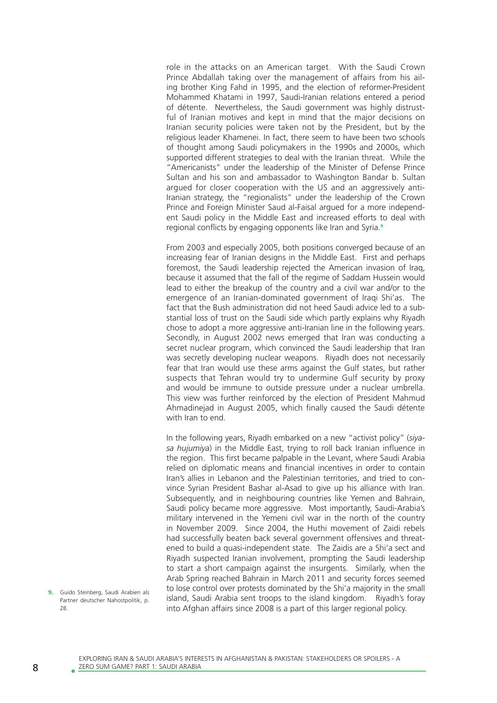role in the attacks on an American target. With the Saudi Crown Prince Abdallah taking over the management of affairs from his ailing brother King Fahd in 1995, and the election of reformer-President Mohammed Khatami in 1997, Saudi-Iranian relations entered a period of détente. Nevertheless, the Saudi government was highly distrustful of Iranian motives and kept in mind that the major decisions on Iranian security policies were taken not by the President, but by the religious leader Khamenei. In fact, there seem to have been two schools of thought among Saudi policymakers in the 1990s and 2000s, which supported different strategies to deal with the Iranian threat. While the "Americanists" under the leadership of the Minister of Defense Prince Sultan and his son and ambassador to Washington Bandar b. Sultan argued for closer cooperation with the US and an aggressively anti-Iranian strategy, the "regionalists" under the leadership of the Crown Prince and Foreign Minister Saud al-Faisal argued for a more independent Saudi policy in the Middle East and increased efforts to deal with regional conflicts by engaging opponents like Iran and Syria.<sup>9</sup>

From 2003 and especially 2005, both positions converged because of an increasing fear of Iranian designs in the Middle East. First and perhaps foremost, the Saudi leadership rejected the American invasion of Iraq, because it assumed that the fall of the regime of Saddam Hussein would lead to either the breakup of the country and a civil war and/or to the emergence of an Iranian-dominated government of Iraqi Shi'as. The fact that the Bush administration did not heed Saudi advice led to a substantial loss of trust on the Saudi side which partly explains why Riyadh chose to adopt a more aggressive anti-Iranian line in the following years. Secondly, in August 2002 news emerged that Iran was conducting a secret nuclear program, which convinced the Saudi leadership that Iran was secretly developing nuclear weapons. Riyadh does not necessarily fear that Iran would use these arms against the Gulf states, but rather suspects that Tehran would try to undermine Gulf security by proxy and would be immune to outside pressure under a nuclear umbrella. This view was further reinforced by the election of President Mahmud Ahmadinejad in August 2005, which finally caused the Saudi détente with Iran to end.

In the following years, Riyadh embarked on a new "activist policy" (*siyasa hujumiya*) in the Middle East, trying to roll back Iranian influence in the region. This first became palpable in the Levant, where Saudi Arabia relied on diplomatic means and financial incentives in order to contain Iran's allies in Lebanon and the Palestinian territories, and tried to convince Syrian President Bashar al-Asad to give up his alliance with Iran. Subsequently, and in neighbouring countries like Yemen and Bahrain, Saudi policy became more aggressive. Most importantly, Saudi-Arabia's military intervened in the Yemeni civil war in the north of the country in November 2009. Since 2004, the Huthi movement of Zaidi rebels had successfully beaten back several government offensives and threatened to build a quasi-independent state. The Zaidis are a Shi'a sect and Riyadh suspected Iranian involvement, prompting the Saudi leadership to start a short campaign against the insurgents. Similarly, when the Arab Spring reached Bahrain in March 2011 and security forces seemed to lose control over protests dominated by the Shi'a majority in the small island, Saudi Arabia sent troops to the island kingdom. Riyadh's foray into Afghan affairs since 2008 is a part of this larger regional policy.

9. Guido Steinberg, Saudi Arabien als Partner deutscher Nahostpolitik, p. 28.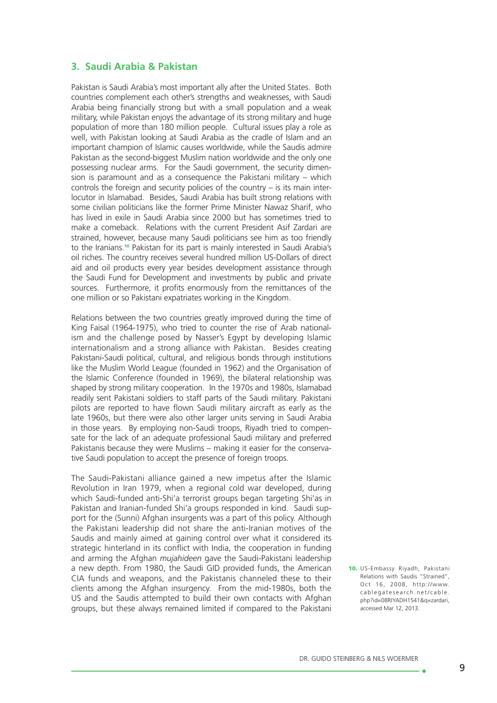## **3. Saudi Arabia & Pakistan**

Pakistan is Saudi Arabia's most important ally after the United States. Both countries complement each other's strengths and weaknesses, with Saudi Arabia being financially strong but with a small population and a weak military, while Pakistan enjoys the advantage of its strong military and huge population of more than 180 million people. Cultural issues play a role as well, with Pakistan looking at Saudi Arabia as the cradle of Islam and an important champion of Islamic causes worldwide, while the Saudis admire Pakistan as the second-biggest Muslim nation worldwide and the only one possessing nuclear arms. For the Saudi government, the security dimension is paramount and as a consequence the Pakistani military – which controls the foreign and security policies of the country – is its main interlocutor in Islamabad. Besides, Saudi Arabia has built strong relations with some civilian politicians like the former Prime Minister Nawaz Sharif, who has lived in exile in Saudi Arabia since 2000 but has sometimes tried to make a comeback. Relations with the current President Asif Zardari are strained, however, because many Saudi politicians see him as too friendly to the Iranians.<sup>10</sup> Pakistan for its part is mainly interested in Saudi Arabia's oil riches. The country receives several hundred million US-Dollars of direct aid and oil products every year besides development assistance through the Saudi Fund for Development and investments by public and private sources. Furthermore, it profits enormously from the remittances of the one million or so Pakistani expatriates working in the Kingdom.

Relations between the two countries greatly improved during the time of King Faisal (1964-1975), who tried to counter the rise of Arab nationalism and the challenge posed by Nasser's Egypt by developing Islamic internationalism and a strong alliance with Pakistan. Besides creating Pakistani-Saudi political, cultural, and religious bonds through institutions like the Muslim World League (founded in 1962) and the Organisation of the Islamic Conference (founded in 1969), the bilateral relationship was shaped by strong military cooperation. In the 1970s and 1980s, Islamabad readily sent Pakistani soldiers to staff parts of the Saudi military. Pakistani pilots are reported to have flown Saudi military aircraft as early as the late 1960s, but there were also other larger units serving in Saudi Arabia in those years. By employing non-Saudi troops, Riyadh tried to compensate for the lack of an adequate professional Saudi military and preferred Pakistanis because they were Muslims – making it easier for the conservative Saudi population to accept the presence of foreign troops.

The Saudi-Pakistani alliance gained a new impetus after the Islamic Revolution in Iran 1979, when a regional cold war developed, during which Saudi-funded anti-Shi'a terrorist groups began targeting Shi'as in Pakistan and Iranian-funded Shi'a groups responded in kind. Saudi support for the (Sunni) Afghan insurgents was a part of this policy. Although the Pakistani leadership did not share the anti-Iranian motives of the Saudis and mainly aimed at gaining control over what it considered its strategic hinterland in its conflict with India, the cooperation in funding and arming the Afghan *mujahideen* gave the Saudi-Pakistani leadership a new depth. From 1980, the Saudi GID provided funds, the American CIA funds and weapons, and the Pakistanis channeled these to their clients among the Afghan insurgency. From the mid-1980s, both the US and the Saudis attempted to build their own contacts with Afghan groups, but these always remained limited if compared to the Pakistani

10. US-Embassy Riyadh, Pakistani Relations with Saudis "Strained", Oct 16, 2008, http://www. cablegatesearch.net/cable. php?id=08RIYADH1541&q=zardari, accessed Mar 12, 2013.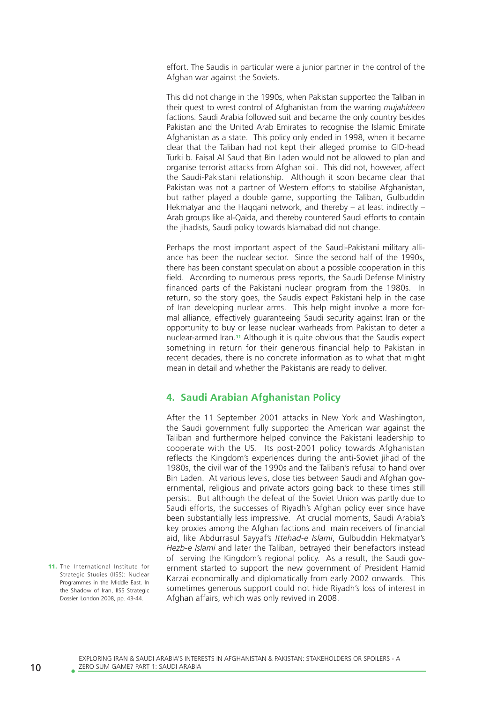effort. The Saudis in particular were a junior partner in the control of the Afghan war against the Soviets.

This did not change in the 1990s, when Pakistan supported the Taliban in their quest to wrest control of Afghanistan from the warring *mujahideen* factions. Saudi Arabia followed suit and became the only country besides Pakistan and the United Arab Emirates to recognise the Islamic Emirate Afghanistan as a state. This policy only ended in 1998, when it became clear that the Taliban had not kept their alleged promise to GID-head Turki b. Faisal Al Saud that Bin Laden would not be allowed to plan and organise terrorist attacks from Afghan soil. This did not, however, affect the Saudi-Pakistani relationship. Although it soon became clear that Pakistan was not a partner of Western efforts to stabilise Afghanistan, but rather played a double game, supporting the Taliban, Gulbuddin Hekmatyar and the Haqqani network, and thereby – at least indirectly – Arab groups like al-Qaida, and thereby countered Saudi efforts to contain the jihadists, Saudi policy towards Islamabad did not change.

Perhaps the most important aspect of the Saudi-Pakistani military alliance has been the nuclear sector. Since the second half of the 1990s, there has been constant speculation about a possible cooperation in this field. According to numerous press reports, the Saudi Defense Ministry financed parts of the Pakistani nuclear program from the 1980s. In return, so the story goes, the Saudis expect Pakistani help in the case of Iran developing nuclear arms. This help might involve a more formal alliance, effectively guaranteeing Saudi security against Iran or the opportunity to buy or lease nuclear warheads from Pakistan to deter a nuclear-armed Iran.11 Although it is quite obvious that the Saudis expect something in return for their generous financial help to Pakistan in recent decades, there is no concrete information as to what that might mean in detail and whether the Pakistanis are ready to deliver.

## **4. Saudi Arabian Afghanistan Policy**

After the 11 September 2001 attacks in New York and Washington, the Saudi government fully supported the American war against the Taliban and furthermore helped convince the Pakistani leadership to cooperate with the US. Its post-2001 policy towards Afghanistan reflects the Kingdom's experiences during the anti-Soviet jihad of the 1980s, the civil war of the 1990s and the Taliban's refusal to hand over Bin Laden. At various levels, close ties between Saudi and Afghan governmental, religious and private actors going back to these times still persist. But although the defeat of the Soviet Union was partly due to Saudi efforts, the successes of Riyadh's Afghan policy ever since have been substantially less impressive. At crucial moments, Saudi Arabia's key proxies among the Afghan factions and main receivers of financial aid, like Abdurrasul Sayyaf's *Ittehad-e Islami*, Gulbuddin Hekmatyar's *Hezb-e Islami* and later the Taliban, betrayed their benefactors instead of serving the Kingdom's regional policy. As a result, the Saudi government started to support the new government of President Hamid Karzai economically and diplomatically from early 2002 onwards. This sometimes generous support could not hide Riyadh's loss of interest in Afghan affairs, which was only revived in 2008.

11. The International Institute for Strategic Studies (IISS): Nuclear Programmes in the Middle East. In the Shadow of Iran, IISS Strategic Dossier, London 2008, pp. 43-44.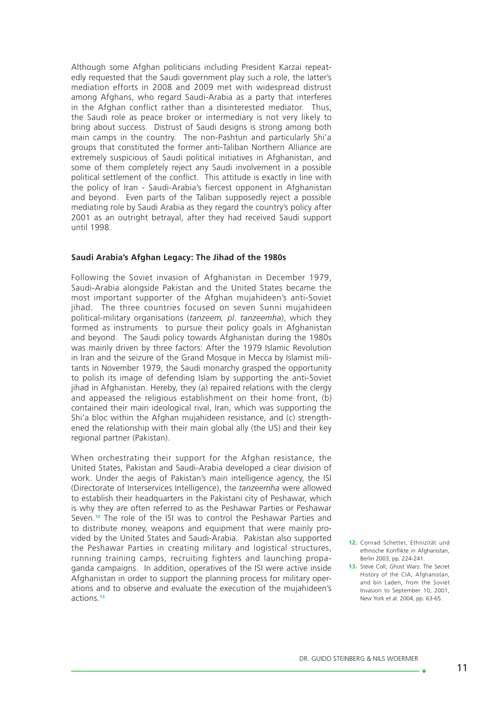Although some Afghan politicians including President Karzai repeatedly requested that the Saudi government play such a role, the latter's mediation efforts in 2008 and 2009 met with widespread distrust among Afghans, who regard Saudi-Arabia as a party that interferes in the Afghan conflict rather than a disinterested mediator. Thus, the Saudi role as peace broker or intermediary is not very likely to bring about success. Distrust of Saudi designs is strong among both main camps in the country. The non-Pashtun and particularly Shi'a groups that constituted the former anti-Taliban Northern Alliance are extremely suspicious of Saudi political initiatives in Afghanistan, and some of them completely reject any Saudi involvement in a possible political settlement of the conflict. This attitude is exactly in line with the policy of Iran - Saudi-Arabia's fiercest opponent in Afghanistan and beyond. Even parts of the Taliban supposedly reject a possible mediating role by Saudi Arabia as they regard the country's policy after 2001 as an outright betrayal, after they had received Saudi support until 1998.

#### **Saudi Arabia's Afghan Legacy: The Jihad of the 1980s**

Following the Soviet invasion of Afghanistan in December 1979, Saudi-Arabia alongside Pakistan and the United States became the most important supporter of the Afghan mujahideen's anti-Soviet jihad. The three countries focused on seven Sunni mujahideen political-military organisations (*tanzeem, pl. tanzeemha*), which they formed as instruments to pursue their policy goals in Afghanistan and beyond. The Saudi policy towards Afghanistan during the 1980s was mainly driven by three factors: After the 1979 Islamic Revolution in Iran and the seizure of the Grand Mosque in Mecca by Islamist militants in November 1979, the Saudi monarchy grasped the opportunity to polish its image of defending Islam by supporting the anti-Soviet jihad in Afghanistan. Hereby, they (a) repaired relations with the clergy and appeased the religious establishment on their home front. (b) contained their main ideological rival, Iran, which was supporting the Shi'a bloc within the Afghan mujahideen resistance, and (c) strengthened the relationship with their main global ally (the US) and their key regional partner (Pakistan).

When orchestrating their support for the Afghan resistance, the United States, Pakistan and Saudi-Arabia developed a clear division of work. Under the aegis of Pakistan's main intelligence agency, the ISI (Directorate of Interservices Intelligence), the *tanzeemha* were allowed to establish their headquarters in the Pakistani city of Peshawar, which is why they are often referred to as the Peshawar Parties or Peshawar Seven.12 The role of the ISI was to control the Peshawar Parties and to distribute money, weapons and equipment that were mainly provided by the United States and Saudi-Arabia. Pakistan also supported the Peshawar Parties in creating military and logistical structures, running training camps, recruiting fighters and launching propaganda campaigns. In addition, operatives of the ISI were active inside Afghanistan in order to support the planning process for military operations and to observe and evaluate the execution of the mujahideen's actions.<sup>13</sup>

. a

<sup>12.</sup> Conrad Schetter, Ethnizität und ethnische Konflikte in Afghanistan, Berlin 2003, pp. 224-241.

<sup>13.</sup> Steve Coll, Ghost Wars: The Secret History of the CIA, Afghanistan, and bin Laden, from the Soviet Invasion to September 10, 2001, New York et al. 2004, pp. 63-65.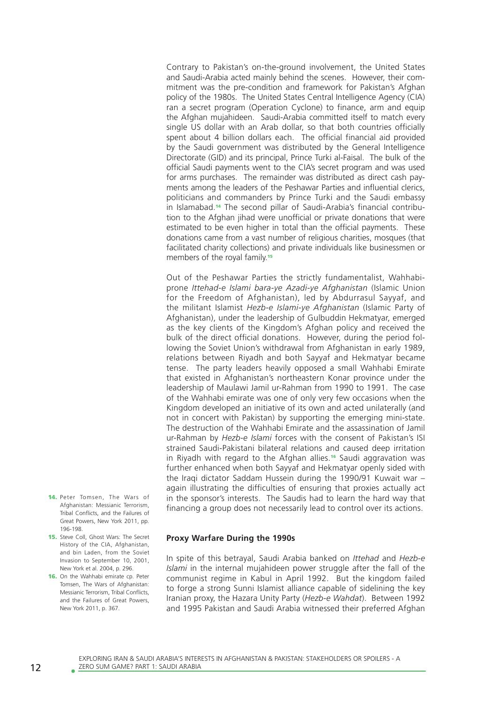Contrary to Pakistan's on-the-ground involvement, the United States and Saudi-Arabia acted mainly behind the scenes. However, their commitment was the pre-condition and framework for Pakistan's Afghan policy of the 1980s. The United States Central Intelligence Agency (CIA) ran a secret program (Operation Cyclone) to finance, arm and equip the Afghan mujahideen. Saudi-Arabia committed itself to match every single US dollar with an Arab dollar, so that both countries officially spent about 4 billion dollars each. The official financial aid provided by the Saudi government was distributed by the General Intelligence Directorate (GID) and its principal, Prince Turki al-Faisal. The bulk of the official Saudi payments went to the CIA's secret program and was used for arms purchases. The remainder was distributed as direct cash payments among the leaders of the Peshawar Parties and influential clerics, politicians and commanders by Prince Turki and the Saudi embassy in Islamabad.14 The second pillar of Saudi-Arabia's financial contribution to the Afghan jihad were unofficial or private donations that were estimated to be even higher in total than the official payments. These donations came from a vast number of religious charities, mosques (that facilitated charity collections) and private individuals like businessmen or members of the royal family.<sup>15</sup>

Out of the Peshawar Parties the strictly fundamentalist, Wahhabiprone *Ittehad-e Islami bara-ye Azadi-ye Afghanistan* (Islamic Union for the Freedom of Afghanistan), led by Abdurrasul Sayyaf, and the militant Islamist *Hezb-e Islami-ye Afghanistan* (Islamic Party of Afghanistan), under the leadership of Gulbuddin Hekmatyar, emerged as the key clients of the Kingdom's Afghan policy and received the bulk of the direct official donations. However, during the period following the Soviet Union's withdrawal from Afghanistan in early 1989, relations between Riyadh and both Sayyaf and Hekmatyar became tense. The party leaders heavily opposed a small Wahhabi Emirate that existed in Afghanistan's northeastern Konar province under the leadership of Maulawi Jamil ur-Rahman from 1990 to 1991. The case of the Wahhabi emirate was one of only very few occasions when the Kingdom developed an initiative of its own and acted unilaterally (and not in concert with Pakistan) by supporting the emerging mini-state. The destruction of the Wahhabi Emirate and the assassination of Jamil ur-Rahman by *Hezb-e Islami* forces with the consent of Pakistan's ISI strained Saudi-Pakistani bilateral relations and caused deep irritation in Riyadh with regard to the Afghan allies.<sup>16</sup> Saudi aggravation was further enhanced when both Sayyaf and Hekmatyar openly sided with the Iraqi dictator Saddam Hussein during the 1990/91 Kuwait war – again illustrating the difficulties of ensuring that proxies actually act in the sponsor's interests. The Saudis had to learn the hard way that financing a group does not necessarily lead to control over its actions.

**Proxy Warfare During the 1990s** 

In spite of this betrayal, Saudi Arabia banked on *Ittehad* and *Hezb-e Islami* in the internal mujahideen power struggle after the fall of the communist regime in Kabul in April 1992. But the kingdom failed to forge a strong Sunni Islamist alliance capable of sidelining the key Iranian proxy, the Hazara Unity Party (*Hezb-e Wahdat*). Between 1992 and 1995 Pakistan and Saudi Arabia witnessed their preferred Afghan

- 14. Peter Tomsen, The Wars of Afghanistan: Messianic Terrorism, Tribal Conflicts, and the Failures of Great Powers, New York 2011, pp. 196-198. 15. Steve Coll, Ghost Wars: The Secret
- History of the CIA, Afghanistan, and bin Laden, from the Soviet Invasion to September 10, 2001, New York et al. 2004, p. 296.
- 16. On the Wahhabi emirate cp. Peter Tomsen, The Wars of Afghanistan: Messianic Terrorism, Tribal Conflicts, and the Failures of Great Powers, New York 2011, p. 367.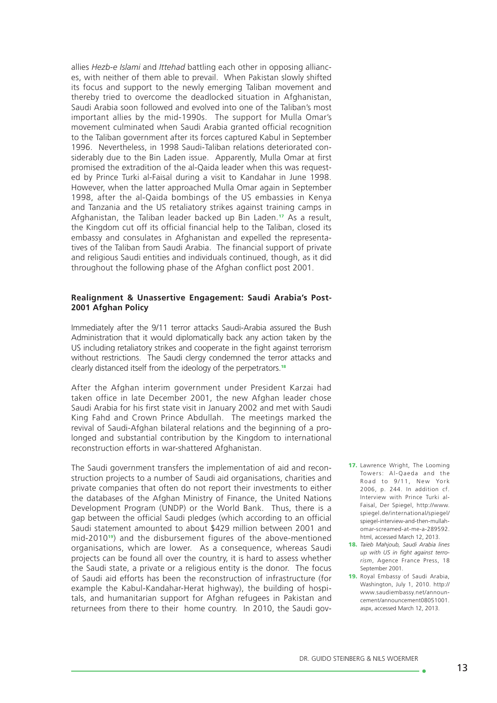allies *Hezb-e Islami* and *Ittehad* battling each other in opposing alliances, with neither of them able to prevail. When Pakistan slowly shifted its focus and support to the newly emerging Taliban movement and thereby tried to overcome the deadlocked situation in Afghanistan, Saudi Arabia soon followed and evolved into one of the Taliban's most important allies by the mid-1990s. The support for Mulla Omar's movement culminated when Saudi Arabia granted official recognition to the Taliban government after its forces captured Kabul in September 1996. Nevertheless, in 1998 Saudi-Taliban relations deteriorated considerably due to the Bin Laden issue. Apparently, Mulla Omar at first promised the extradition of the al-Qaida leader when this was requested by Prince Turki al-Faisal during a visit to Kandahar in June 1998. However, when the latter approached Mulla Omar again in September 1998, after the al-Qaida bombings of the US embassies in Kenya and Tanzania and the US retaliatory strikes against training camps in Afghanistan, the Taliban leader backed up Bin Laden.<sup>17</sup> As a result, the Kingdom cut off its official financial help to the Taliban, closed its embassy and consulates in Afghanistan and expelled the representatives of the Taliban from Saudi Arabia. The financial support of private and religious Saudi entities and individuals continued, though, as it did throughout the following phase of the Afghan conflict post 2001.

#### **Realignment & Unassertive Engagement: Saudi Arabia's Post-2001 Afghan Policy**

Immediately after the 9/11 terror attacks Saudi-Arabia assured the Bush Administration that it would diplomatically back any action taken by the US including retaliatory strikes and cooperate in the fight against terrorism without restrictions. The Saudi clergy condemned the terror attacks and clearly distanced itself from the ideology of the perpetrators.<sup>18</sup>

After the Afghan interim government under President Karzai had taken office in late December 2001, the new Afghan leader chose Saudi Arabia for his first state visit in January 2002 and met with Saudi King Fahd and Crown Prince Abdullah. The meetings marked the revival of Saudi-Afghan bilateral relations and the beginning of a prolonged and substantial contribution by the Kingdom to international reconstruction efforts in war-shattered Afghanistan.

The Saudi government transfers the implementation of aid and reconstruction projects to a number of Saudi aid organisations, charities and private companies that often do not report their investments to either the databases of the Afghan Ministry of Finance, the United Nations Development Program (UNDP) or the World Bank. Thus, there is a gap between the official Saudi pledges (which according to an official Saudi statement amounted to about \$429 million between 2001 and mid-201019) and the disbursement figures of the above-mentioned organisations, which are lower. As a consequence, whereas Saudi projects can be found all over the country, it is hard to assess whether the Saudi state, a private or a religious entity is the donor. The focus of Saudi aid efforts has been the reconstruction of infrastructure (for example the Kabul-Kandahar-Herat highway), the building of hospitals, and humanitarian support for Afghan refugees in Pakistan and returnees from there to their home country. In 2010, the Saudi gov-

- 17. Lawrence Wright, The Looming Towers: Al-Qaeda and the Road to 9/11. New York 2006, p. 244. In addition cf. Interview with Prince Turki al-Faisal, Der Spiegel, http://www. spiegel.de/international/spiegel/ spiegel-interview-and-then-mullahomar-screamed-at-me-a-289592. html, accessed March 12, 2013.
- 18. *Taieb Mahjoub, Saudi Arabia lines up with US in fight against terrorism*, Agence France Press, 18 September 2001.
- 19. Royal Embassy of Saudi Arabia, Washington, July 1, 2010. http:// www.saudiembassy.net/announcement/announcement08051001. aspx, accessed March 12, 2013.

ه -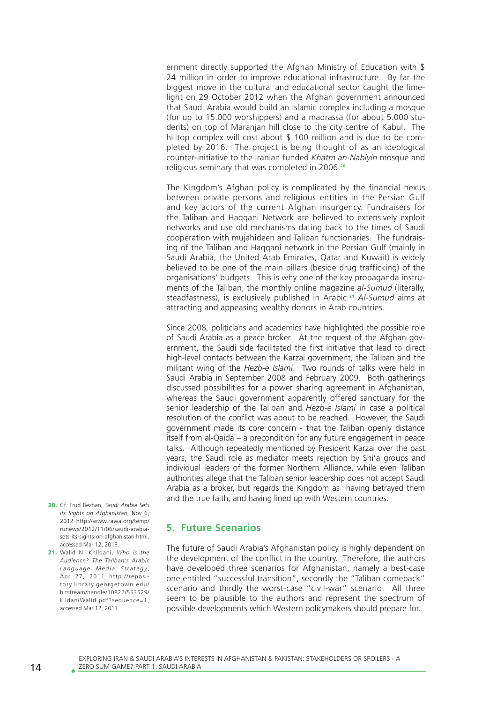ernment directly supported the Afghan Ministry of Education with \$ 24 million in order to improve educational infrastructure. By far the biggest move in the cultural and educational sector caught the limelight on 29 October 2012 when the Afghan government announced that Saudi Arabia would build an Islamic complex including a mosque (for up to 15.000 worshippers) and a madrassa (for about 5.000 students) on top of Maranjan hill close to the city centre of Kabul. The hilltop complex will cost about \$ 100 million and is due to be completed by 2016. The project is being thought of as an ideological counter-initiative to the Iranian funded *Khatm an-Nabiyin* mosque and religious seminary that was completed in 2006.<sup>20</sup>

The Kingdom's Afghan policy is complicated by the financial nexus between private persons and religious entities in the Persian Gulf and key actors of the current Afghan insurgency. Fundraisers for the Taliban and Haqqani Network are believed to extensively exploit networks and use old mechanisms dating back to the times of Saudi cooperation with mujahideen and Taliban functionaries. The fundraising of the Taliban and Haqqani network in the Persian Gulf (mainly in Saudi Arabia, the United Arab Emirates, Qatar and Kuwait) is widely believed to be one of the main pillars (beside drug trafficking) of the organisations' budgets. This is why one of the key propaganda instruments of the Taliban, the monthly online magazine *al-Sumud* (literally, steadfastness), is exclusively published in Arabic.<sup>21</sup> *Al-Sumud* aims at attracting and appeasing wealthy donors in Arab countries.

Since 2008, politicians and academics have highlighted the possible role of Saudi Arabia as a peace broker. At the request of the Afghan government, the Saudi side facilitated the first initiative that lead to direct high-level contacts between the Karzai government, the Taliban and the militant wing of the *Hezb-e Islami*. Two rounds of talks were held in Saudi Arabia in September 2008 and February 2009. Both gatherings discussed possibilities for a power sharing agreement in Afghanistan, whereas the Saudi government apparently offered sanctuary for the senior leadership of the Taliban and *Hezb-e Islami* in case a political resolution of the conflict was about to be reached. However, the Saudi government made its core concern - that the Taliban openly distance itself from al-Qaida – a precondition for any future engagement in peace talks. Although repeatedly mentioned by President Karzai over the past years, the Saudi role as mediator meets rejection by Shi'a groups and individual leaders of the former Northern Alliance, while even Taliban authorities allege that the Taliban senior leadership does not accept Saudi Arabia as a broker, but regards the Kingdom as having betrayed them and the true faith, and having lined up with Western countries.

- 20. Cf. Frud Bezhan, *Saudi Arabia Sets its Sights on Afghanistan*, Nov 6, 2012 http://www.rawa.org/temp/ runews/2012/11/06/saudi-arabiasets-its-sights-on-afghanistan.html, accessed Mar 12, 2013.
- 21. Walid N. Khildani, *Who is the Audience? The Taliban's Arabic Language Media Strategy* , Apr 27, 2011 http://repository.library.georgetown.edu/ bitstream/handle/10822/553529/ kildaniWalid.pdf?sequence=1, accessed Mar 12, 2013.

## **5. Future Scenarios**

The future of Saudi Arabia's Afghanistan policy is highly dependent on the development of the conflict in the country. Therefore, the authors have developed three scenarios for Afghanistan, namely a best-case one entitled "successful transition", secondly the "Taliban comeback" scenario and thirdly the worst-case "civil-war" scenario. All three seem to be plausible to the authors and represent the spectrum of possible developments which Western policymakers should prepare for.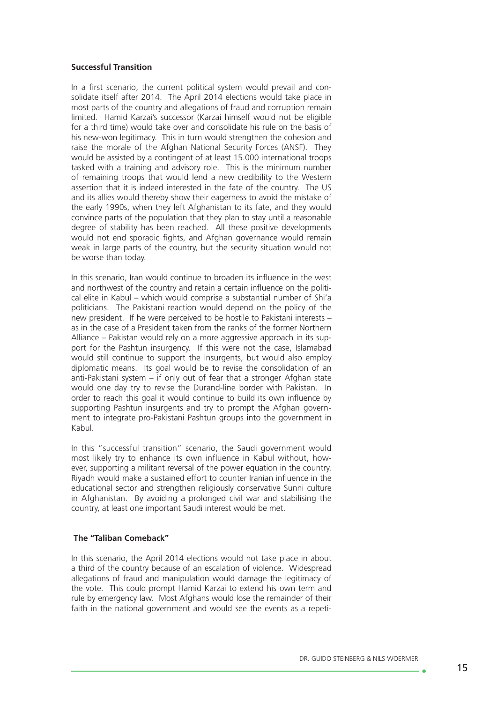## **Successful Transition**

In a first scenario, the current political system would prevail and consolidate itself after 2014. The April 2014 elections would take place in most parts of the country and allegations of fraud and corruption remain limited. Hamid Karzai's successor (Karzai himself would not be eligible for a third time) would take over and consolidate his rule on the basis of his new-won legitimacy. This in turn would strengthen the cohesion and raise the morale of the Afghan National Security Forces (ANSF). They would be assisted by a contingent of at least 15.000 international troops tasked with a training and advisory role. This is the minimum number of remaining troops that would lend a new credibility to the Western assertion that it is indeed interested in the fate of the country. The US and its allies would thereby show their eagerness to avoid the mistake of the early 1990s, when they left Afghanistan to its fate, and they would convince parts of the population that they plan to stay until a reasonable degree of stability has been reached. All these positive developments would not end sporadic fights, and Afghan governance would remain weak in large parts of the country, but the security situation would not be worse than today.

In this scenario, Iran would continue to broaden its influence in the west and northwest of the country and retain a certain influence on the political elite in Kabul – which would comprise a substantial number of Shi'a politicians. The Pakistani reaction would depend on the policy of the new president. If he were perceived to be hostile to Pakistani interests – as in the case of a President taken from the ranks of the former Northern Alliance – Pakistan would rely on a more aggressive approach in its support for the Pashtun insurgency. If this were not the case, Islamabad would still continue to support the insurgents, but would also employ diplomatic means. Its goal would be to revise the consolidation of an anti-Pakistani system – if only out of fear that a stronger Afghan state would one day try to revise the Durand-line border with Pakistan. In order to reach this goal it would continue to build its own influence by supporting Pashtun insurgents and try to prompt the Afghan government to integrate pro-Pakistani Pashtun groups into the government in Kabul.

In this "successful transition" scenario, the Saudi government would most likely try to enhance its own influence in Kabul without, however, supporting a militant reversal of the power equation in the country. Riyadh would make a sustained effort to counter Iranian influence in the educational sector and strengthen religiously conservative Sunni culture in Afghanistan. By avoiding a prolonged civil war and stabilising the country, at least one important Saudi interest would be met.

## **The "Taliban Comeback"**

In this scenario, the April 2014 elections would not take place in about a third of the country because of an escalation of violence. Widespread allegations of fraud and manipulation would damage the legitimacy of the vote. This could prompt Hamid Karzai to extend his own term and rule by emergency law. Most Afghans would lose the remainder of their faith in the national government and would see the events as a repeti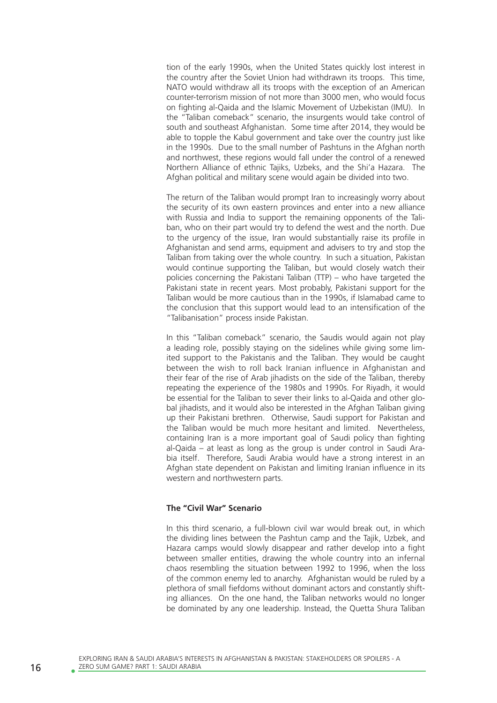tion of the early 1990s, when the United States quickly lost interest in the country after the Soviet Union had withdrawn its troops. This time, NATO would withdraw all its troops with the exception of an American counter-terrorism mission of not more than 3000 men, who would focus on fighting al-Qaida and the Islamic Movement of Uzbekistan (IMU). In the "Taliban comeback" scenario, the insurgents would take control of south and southeast Afghanistan. Some time after 2014, they would be able to topple the Kabul government and take over the country just like in the 1990s. Due to the small number of Pashtuns in the Afghan north and northwest, these regions would fall under the control of a renewed Northern Alliance of ethnic Tajiks, Uzbeks, and the Shi'a Hazara. The Afghan political and military scene would again be divided into two.

The return of the Taliban would prompt Iran to increasingly worry about the security of its own eastern provinces and enter into a new alliance with Russia and India to support the remaining opponents of the Taliban, who on their part would try to defend the west and the north. Due to the urgency of the issue, Iran would substantially raise its profile in Afghanistan and send arms, equipment and advisers to try and stop the Taliban from taking over the whole country. In such a situation, Pakistan would continue supporting the Taliban, but would closely watch their policies concerning the Pakistani Taliban (TTP) – who have targeted the Pakistani state in recent years. Most probably, Pakistani support for the Taliban would be more cautious than in the 1990s, if Islamabad came to the conclusion that this support would lead to an intensification of the "Talibanisation" process inside Pakistan.

In this "Taliban comeback" scenario, the Saudis would again not play a leading role, possibly staying on the sidelines while giving some limited support to the Pakistanis and the Taliban. They would be caught between the wish to roll back Iranian influence in Afghanistan and their fear of the rise of Arab jihadists on the side of the Taliban, thereby repeating the experience of the 1980s and 1990s. For Riyadh, it would be essential for the Taliban to sever their links to al-Qaida and other global jihadists, and it would also be interested in the Afghan Taliban giving up their Pakistani brethren. Otherwise, Saudi support for Pakistan and the Taliban would be much more hesitant and limited. Nevertheless, containing Iran is a more important goal of Saudi policy than fighting al-Qaida – at least as long as the group is under control in Saudi Arabia itself. Therefore, Saudi Arabia would have a strong interest in an Afghan state dependent on Pakistan and limiting Iranian influence in its western and northwestern parts.

#### **The "Civil War" Scenario**

In this third scenario, a full-blown civil war would break out, in which the dividing lines between the Pashtun camp and the Tajik, Uzbek, and Hazara camps would slowly disappear and rather develop into a fight between smaller entities, drawing the whole country into an infernal chaos resembling the situation between 1992 to 1996, when the loss of the common enemy led to anarchy. Afghanistan would be ruled by a plethora of small fiefdoms without dominant actors and constantly shifting alliances. On the one hand, the Taliban networks would no longer be dominated by any one leadership. Instead, the Quetta Shura Taliban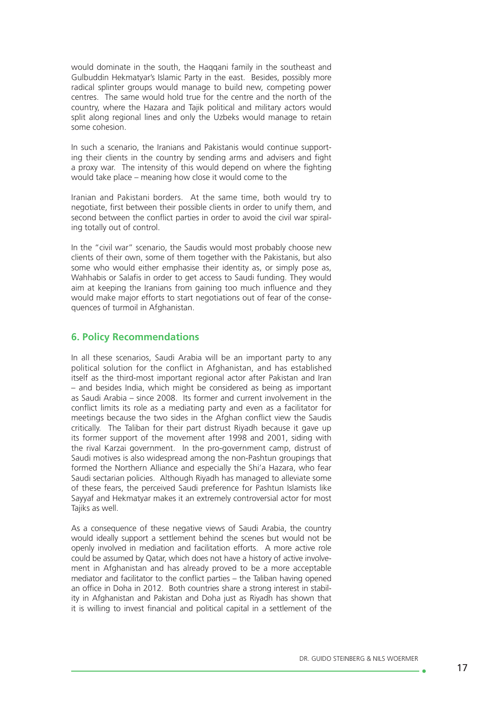would dominate in the south, the Haqqani family in the southeast and Gulbuddin Hekmatyar's Islamic Party in the east. Besides, possibly more radical splinter groups would manage to build new, competing power centres. The same would hold true for the centre and the north of the country, where the Hazara and Tajik political and military actors would split along regional lines and only the Uzbeks would manage to retain some cohesion.

In such a scenario, the Iranians and Pakistanis would continue supporting their clients in the country by sending arms and advisers and fight a proxy war. The intensity of this would depend on where the fighting would take place – meaning how close it would come to the

Iranian and Pakistani borders. At the same time, both would try to negotiate, first between their possible clients in order to unify them, and second between the conflict parties in order to avoid the civil war spiraling totally out of control.

In the "civil war" scenario, the Saudis would most probably choose new clients of their own, some of them together with the Pakistanis, but also some who would either emphasise their identity as, or simply pose as, Wahhabis or Salafis in order to get access to Saudi funding. They would aim at keeping the Iranians from gaining too much influence and they would make major efforts to start negotiations out of fear of the consequences of turmoil in Afghanistan.

## **6. Policy Recommendations**

In all these scenarios, Saudi Arabia will be an important party to any political solution for the conflict in Afghanistan, and has established itself as the third-most important regional actor after Pakistan and Iran – and besides India, which might be considered as being as important as Saudi Arabia – since 2008. Its former and current involvement in the conflict limits its role as a mediating party and even as a facilitator for meetings because the two sides in the Afghan conflict view the Saudis critically. The Taliban for their part distrust Riyadh because it gave up its former support of the movement after 1998 and 2001, siding with the rival Karzai government. In the pro-government camp, distrust of Saudi motives is also widespread among the non-Pashtun groupings that formed the Northern Alliance and especially the Shi'a Hazara, who fear Saudi sectarian policies. Although Riyadh has managed to alleviate some of these fears, the perceived Saudi preference for Pashtun Islamists like Sayyaf and Hekmatyar makes it an extremely controversial actor for most Tajiks as well.

As a consequence of these negative views of Saudi Arabia, the country would ideally support a settlement behind the scenes but would not be openly involved in mediation and facilitation efforts. A more active role could be assumed by Qatar, which does not have a history of active involvement in Afghanistan and has already proved to be a more acceptable mediator and facilitator to the conflict parties – the Taliban having opened an office in Doha in 2012. Both countries share a strong interest in stability in Afghanistan and Pakistan and Doha just as Riyadh has shown that it is willing to invest financial and political capital in a settlement of the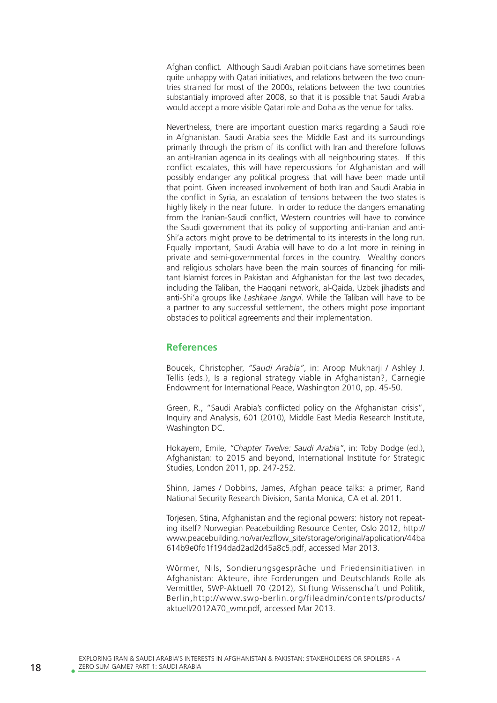Afghan conflict. Although Saudi Arabian politicians have sometimes been quite unhappy with Qatari initiatives, and relations between the two countries strained for most of the 2000s, relations between the two countries substantially improved after 2008, so that it is possible that Saudi Arabia would accept a more visible Qatari role and Doha as the venue for talks.

Nevertheless, there are important question marks regarding a Saudi role in Afghanistan. Saudi Arabia sees the Middle East and its surroundings primarily through the prism of its conflict with Iran and therefore follows an anti-Iranian agenda in its dealings with all neighbouring states. If this conflict escalates, this will have repercussions for Afghanistan and will possibly endanger any political progress that will have been made until that point. Given increased involvement of both Iran and Saudi Arabia in the conflict in Syria, an escalation of tensions between the two states is highly likely in the near future. In order to reduce the dangers emanating from the Iranian-Saudi conflict, Western countries will have to convince the Saudi government that its policy of supporting anti-Iranian and anti-Shi'a actors might prove to be detrimental to its interests in the long run. Equally important, Saudi Arabia will have to do a lot more in reining in private and semi-governmental forces in the country. Wealthy donors and religious scholars have been the main sources of financing for militant Islamist forces in Pakistan and Afghanistan for the last two decades, including the Taliban, the Haqqani network, al-Qaida, Uzbek jihadists and anti-Shi'a groups like *Lashkar-e Jangvi*. While the Taliban will have to be a partner to any successful settlement, the others might pose important obstacles to political agreements and their implementation.

## **References**

Boucek, Christopher, *"Saudi Arabia"*, in: Aroop Mukharji / Ashley J. Tellis (eds.), Is a regional strategy viable in Afghanistan?, Carnegie Endowment for International Peace, Washington 2010, pp. 45-50.

Green, R., "Saudi Arabia's conflicted policy on the Afghanistan crisis", Inquiry and Analysis, 601 (2010), Middle East Media Research Institute, Washington DC.

Hokayem, Emile, *"Chapter Twelve: Saudi Arabia"*, in: Toby Dodge (ed.), Afghanistan: to 2015 and beyond, International Institute for Strategic Studies, London 2011, pp. 247-252.

Shinn, James / Dobbins, James, Afghan peace talks: a primer, Rand National Security Research Division, Santa Monica, CA et al. 2011.

Toriesen, Stina, Afghanistan and the regional powers: history not repeating itself? Norwegian Peacebuilding Resource Center, Oslo 2012, http:// www.peacebuilding.no/var/ezflow\_site/storage/original/application/44ba 614b9e0fd1f194dad2ad2d45a8c5.pdf, accessed Mar 2013.

Wörmer, Nils, Sondierungsgespräche und Friedensinitiativen in Afghanistan: Akteure, ihre Forderungen und Deutschlands Rolle als Vermittler, SWP-Aktuell 70 (2012), Stiftung Wissenschaft und Politik, Berlin,http://www.swp-berlin.org/fileadmin/contents/products/ aktuell/2012A70\_wmr.pdf, accessed Mar 2013.